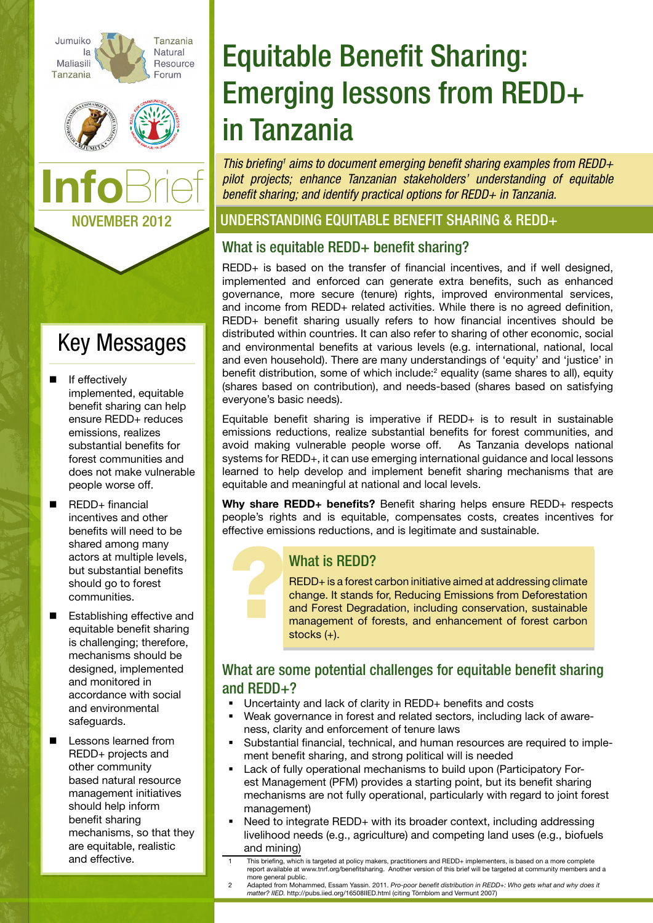





# Key Messages

- If effectively implemented, equitable benefit sharing can help ensure REDD+ reduces emissions, realizes substantial benefits for forest communities and does not make vulnerable people worse off.
- REDD+ financial incentives and other benefits will need to be shared among many actors at multiple levels, but substantial benefits should go to forest communities.
- Establishing effective and equitable benefit sharing is challenging; therefore, mechanisms should be designed, implemented and monitored in accordance with social and environmental safeguards.
- Lessons learned from REDD+ projects and other community based natural resource management initiatives should help inform benefit sharing mechanisms, so that they are equitable, realistic and effective.

# Equitable Benefit Sharing: Emerging lessons from REDD+ in Tanzania

This briefing<sup>1</sup> aims to document emerging benefit sharing examples from REDD+ *pilot projects; enhance Tanzanian stakeholders' understanding of equitable benefit sharing; and identify practical options for REDD+ in Tanzania.*

### Understanding Equitable Benefit sharing & REdd+

# What is equitable REDD+ benefit sharing?

REDD+ is based on the transfer of financial incentives, and if well designed, implemented and enforced can generate extra benefits, such as enhanced governance, more secure (tenure) rights, improved environmental services, and income from REDD+ related activities. While there is no agreed definition, REDD+ benefit sharing usually refers to how financial incentives should be distributed within countries. It can also refer to sharing of other economic, social and environmental benefits at various levels (e.g. international, national, local and even household). There are many understandings of 'equity' and 'justice' in benefit distribution, some of which include:<sup>2</sup> equality (same shares to all), equity (shares based on contribution), and needs-based (shares based on satisfying everyone's basic needs).

Equitable benefit sharing is imperative if REDD+ is to result in sustainable emissions reductions, realize substantial benefits for forest communities, and avoid making vulnerable people worse off. As Tanzania develops national systems for REDD+, it can use emerging international guidance and local lessons learned to help develop and implement benefit sharing mechanisms that are equitable and meaningful at national and local levels.

Why share REDD+ benefits? Benefit sharing helps ensure REDD+ respects people's rights and is equitable, compensates costs, creates incentives for effective emissions reductions, and is legitimate and sustainable.

# What is REDD?

REDD+ is a forest carbon initiative aimed at addressing climate change. It stands for, Reducing Emissions from Deforestation and Forest Degradation, including conservation, sustainable management of forests, and enhancement of forest carbon stocks (+).

#### What are some potential challenges for equitable benefit sharing and REDD+?

- Uncertainty and lack of clarity in REDD+ benefits and costs
- Weak governance in forest and related sectors, including lack of awareness, clarity and enforcement of tenure laws
- Substantial financial, technical, and human resources are required to implement benefit sharing, and strong political will is needed
- Lack of fully operational mechanisms to build upon (Participatory Forest Management (PFM) provides a starting point, but its benefit sharing mechanisms are not fully operational, particularly with regard to joint forest management)
- Need to integrate REDD+ with its broader context, including addressing livelihood needs (e.g., agriculture) and competing land uses (e.g., biofuels and mining)
- This briefing, which is targeted at policy makers, practitioners and REDD+ implementers, is based on a more complete report available at www.tnrf.org/benefitsharing. Another version of this brief will be targeted at community members and a more general public.
- 2 Adapted from Mohammed, Essam Yassin. 2011. *Pro-poor benefit distribution in REDD+: Who gets what and why does it matter? IIED.* <http://pubs.iied.org/16508IIED.html> (citing Törnblom and Vermunt 2007)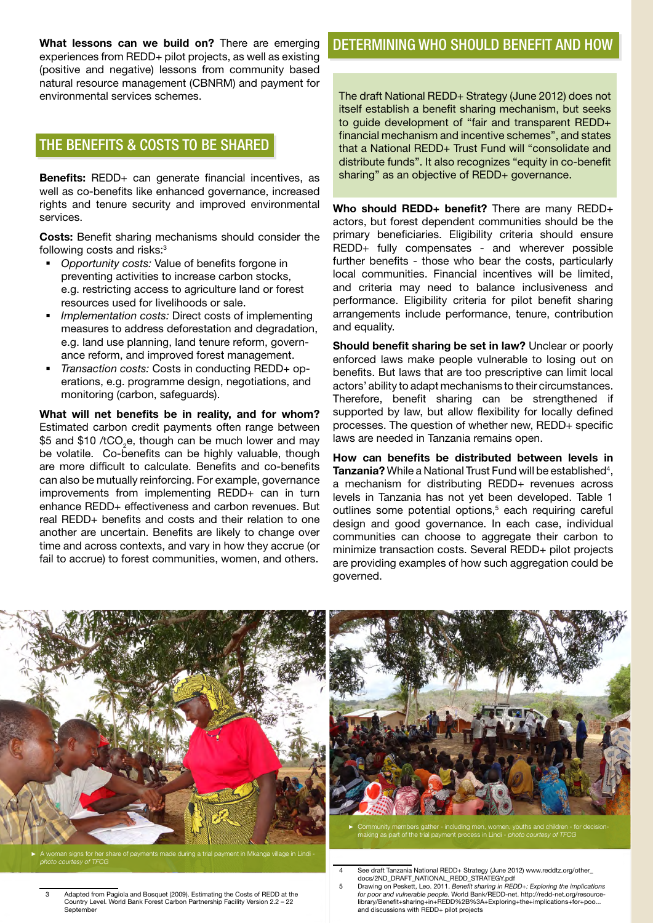What lessons can we build on? There are emerging experiences from REDD+ pilot projects, as well as existing (positive and negative) lessons from community based natural resource management (CBNRM) and payment for environmental services schemes.

### The benefits & costs to be Shared

Benefits: REDD+ can generate financial incentives, as well as co-benefits like enhanced governance, increased rights and tenure security and improved environmental services.

Costs: Benefit sharing mechanisms should consider the following costs and risks:<sup>3</sup>

- *Opportunity costs:* Value of benefits forgone in preventing activities to increase carbon stocks, e.g. restricting access to agriculture land or forest resources used for livelihoods or sale.
- *Implementation costs:* Direct costs of implementing measures to address deforestation and degradation, e.g. land use planning, land tenure reform, governance reform, and improved forest management.
- *Transaction costs:* Costs in conducting REDD+ operations, e.g. programme design, negotiations, and monitoring (carbon, safeguards).

What will net benefits be in reality, and for whom? Estimated carbon credit payments often range between \$5 and \$10 /tCO<sub>2</sub>e, though can be much lower and may be volatile. Co-benefits can be highly valuable, though are more difficult to calculate. Benefits and co-benefits can also be mutually reinforcing. For example, governance improvements from implementing REDD+ can in turn enhance REDD+ effectiveness and carbon revenues. But real REDD+ benefits and costs and their relation to one another are uncertain. Benefits are likely to change over time and across contexts, and vary in how they accrue (or fail to accrue) to forest communities, women, and others.

### DETERMINING WHO SHOULD BENEFIT AND HOW

The draft National REDD+ Strategy (June 2012) does not itself establish a benefit sharing mechanism, but seeks to guide development of "fair and transparent REDD+ financial mechanism and incentive schemes", and states that a National REDD+ Trust Fund will "consolidate and distribute funds". It also recognizes "equity in co-benefit sharing" as an objective of REDD+ governance.

Who should REDD+ benefit? There are many REDD+ actors, but forest dependent communities should be the primary beneficiaries. Eligibility criteria should ensure REDD+ fully compensates - and wherever possible further benefits - those who bear the costs, particularly local communities. Financial incentives will be limited, and criteria may need to balance inclusiveness and performance. Eligibility criteria for pilot benefit sharing arrangements include performance, tenure, contribution and equality.

Should benefit sharing be set in law? Unclear or poorly enforced laws make people vulnerable to losing out on benefits. But laws that are too prescriptive can limit local actors' ability to adapt mechanisms to their circumstances. Therefore, benefit sharing can be strengthened if supported by law, but allow flexibility for locally defined processes. The question of whether new, REDD+ specific laws are needed in Tanzania remains open.

How can benefits be distributed between levels in Tanzania? While a National Trust Fund will be established<sup>4</sup>, a mechanism for distributing REDD+ revenues across levels in Tanzania has not yet been developed. Table 1 outlines some potential options,<sup>5</sup> each requiring careful design and good governance. In each case, individual communities can choose to aggregate their carbon to minimize transaction costs. Several REDD+ pilot projects are providing examples of how such aggregation could be governed.



*photo courtesy of TFCG*



► Community members gather - including men, women, youths and children - for decisionmaking as part of the trial payment process in Lindi - *photo courtesy of TFCG*

4 See draft Tanzania National REDD+ Strategy (June 2012) www.reddtz.org/other\_

- Adapted from Pagiola and Bosquet (2009). Estimating the Costs of REDD at the Country Level. World Bank Forest Carbon Partnership Facility Version 2.2 – 22 Septem
- docs/2ND\_DRAFT\_NATIONAL\_REDD\_STRATEGY.pdf 5 Drawing on Peskett, Leo. 2011. *Benefit sharing in REDD+: Exploring the implications for poor and vulnerable people.* World Bank/REDD-net. [http://redd-net.org/resource](http://redd-net.org/resource-library/Benefit+sharing+in+REDD%2B%3A+Exploring+the+implications+for+poo)[library/Benefit+sharing+in+REDD%2B%3A+Exploring+the+implications+for+poo](http://redd-net.org/resource-library/Benefit+sharing+in+REDD%2B%3A+Exploring+the+implications+for+poo)... and discussions with REDD+ pilot projects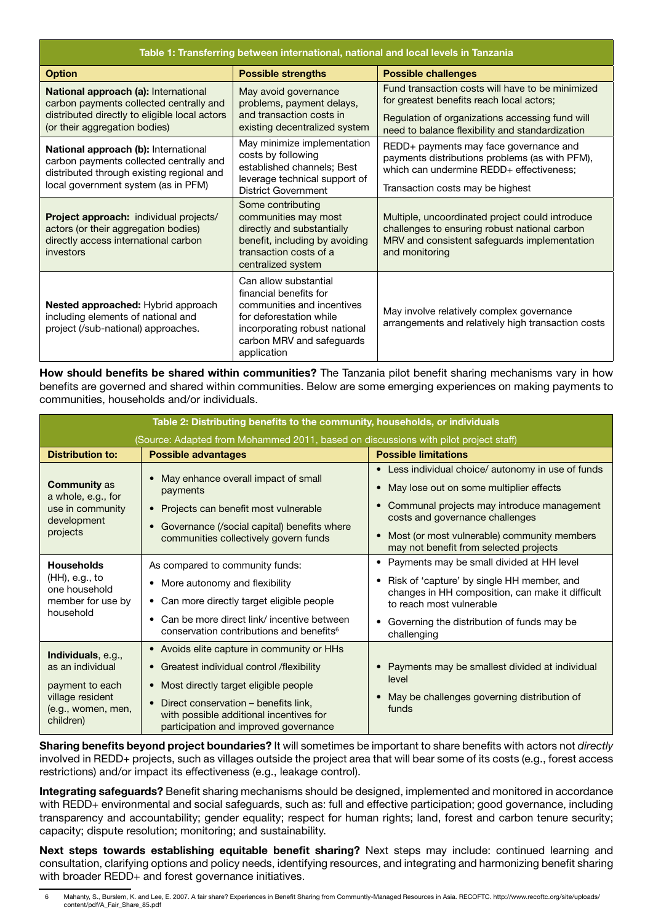| Table 1: Transferring between international, national and local levels in Tanzania                                                                                       |                                                                                                                                                                                       |                                                                                                                                                                                                     |  |  |  |
|--------------------------------------------------------------------------------------------------------------------------------------------------------------------------|---------------------------------------------------------------------------------------------------------------------------------------------------------------------------------------|-----------------------------------------------------------------------------------------------------------------------------------------------------------------------------------------------------|--|--|--|
| <b>Option</b>                                                                                                                                                            | <b>Possible strengths</b>                                                                                                                                                             | <b>Possible challenges</b>                                                                                                                                                                          |  |  |  |
| <b>National approach (a): International</b><br>carbon payments collected centrally and<br>distributed directly to eligible local actors<br>(or their aggregation bodies) | May avoid governance<br>problems, payment delays,<br>and transaction costs in<br>existing decentralized system                                                                        | Fund transaction costs will have to be minimized<br>for greatest benefits reach local actors;<br>Regulation of organizations accessing fund will<br>need to balance flexibility and standardization |  |  |  |
| National approach (b): International<br>carbon payments collected centrally and<br>distributed through existing regional and<br>local government system (as in PFM)      | May minimize implementation<br>costs by following<br>established channels; Best<br>leverage technical support of<br><b>District Government</b>                                        | REDD+ payments may face governance and<br>payments distributions problems (as with PFM),<br>which can undermine REDD+ effectiveness;<br>Transaction costs may be highest                            |  |  |  |
| Project approach: individual projects/<br>actors (or their aggregation bodies)<br>directly access international carbon<br>investors                                      | Some contributing<br>communities may most<br>directly and substantially<br>benefit, including by avoiding<br>transaction costs of a<br>centralized system                             | Multiple, uncoordinated project could introduce<br>challenges to ensuring robust national carbon<br>MRV and consistent safeguards implementation<br>and monitoring                                  |  |  |  |
| Nested approached: Hybrid approach<br>including elements of national and<br>project (/sub-national) approaches.                                                          | Can allow substantial<br>financial benefits for<br>communities and incentives<br>for deforestation while<br>incorporating robust national<br>carbon MRV and safeguards<br>application | May involve relatively complex governance<br>arrangements and relatively high transaction costs                                                                                                     |  |  |  |

How should benefits be shared within communities? The Tanzania pilot benefit sharing mechanisms vary in how benefits are governed and shared within communities. Below are some emerging experiences on making payments to communities, households and/or individuals.

| Table 2: Distributing benefits to the community, households, or individuals                                      |                                                                                                                                                                                                                                                                             |                                                                                                                                                                                                                                                                         |  |  |  |
|------------------------------------------------------------------------------------------------------------------|-----------------------------------------------------------------------------------------------------------------------------------------------------------------------------------------------------------------------------------------------------------------------------|-------------------------------------------------------------------------------------------------------------------------------------------------------------------------------------------------------------------------------------------------------------------------|--|--|--|
| (Source: Adapted from Mohammed 2011, based on discussions with pilot project staff)                              |                                                                                                                                                                                                                                                                             |                                                                                                                                                                                                                                                                         |  |  |  |
| <b>Distribution to:</b>                                                                                          | <b>Possible advantages</b>                                                                                                                                                                                                                                                  | <b>Possible limitations</b>                                                                                                                                                                                                                                             |  |  |  |
| <b>Community as</b><br>a whole, e.g., for<br>use in community<br>development<br>projects                         | May enhance overall impact of small<br>payments<br>Projects can benefit most vulnerable<br>$\bullet$<br>Governance (/social capital) benefits where<br>$\bullet$<br>communities collectively govern funds                                                                   | • Less individual choice/ autonomy in use of funds<br>May lose out on some multiplier effects<br>Communal projects may introduce management<br>costs and governance challenges<br>Most (or most vulnerable) community members<br>may not benefit from selected projects |  |  |  |
| <b>Households</b><br>(HH), e.g., to<br>one household<br>member for use by<br>household                           | As compared to community funds:<br>More autonomy and flexibility<br>Can more directly target eligible people<br>Can be more direct link/ incentive between<br>conservation contributions and benefits <sup>6</sup>                                                          | • Payments may be small divided at HH level<br>Risk of 'capture' by single HH member, and<br>٠<br>changes in HH composition, can make it difficult<br>to reach most vulnerable<br>Governing the distribution of funds may be<br>challenging                             |  |  |  |
| Individuals, e.g.,<br>as an individual<br>payment to each<br>village resident<br>(e.g., women, men,<br>children) | • Avoids elite capture in community or HHs<br>• Greatest individual control /flexibility<br>• Most directly target eligible people<br>Direct conservation - benefits link,<br>$\bullet$<br>with possible additional incentives for<br>participation and improved governance | Payments may be smallest divided at individual<br>level<br>May be challenges governing distribution of<br>funds                                                                                                                                                         |  |  |  |

Sharing benefits beyond project boundaries? It will sometimes be important to share benefits with actors not *directly* involved in REDD+ projects, such as villages outside the project area that will bear some of its costs (e.g., forest access restrictions) and/or impact its effectiveness (e.g., leakage control).

Integrating safeguards? Benefit sharing mechanisms should be designed, implemented and monitored in accordance with REDD+ environmental and social safeguards, such as: full and effective participation; good governance, including transparency and accountability; gender equality; respect for human rights; land, forest and carbon tenure security; capacity; dispute resolution; monitoring; and sustainability.

Next steps towards establishing equitable benefit sharing? Next steps may include: continued learning and consultation, clarifying options and policy needs, identifying resources, and integrating and harmonizing benefit sharing with broader REDD+ and forest governance initiatives.

<sup>6</sup> Mahanty, S., Burslem, K. and Lee, E. 2007. [A fair share? Experiences in Benefit Sharing from Communtiy-Managed Resources in Asia](http://redd-net.org/resource-library/A+fair+share%3F+Experiences+in+Benefit+Sharing+from+Communtiy-...). RECOFTC. http://www.recoftc.org/site/uploads/ content/pdf/A\_Fair\_Share\_85.pdf